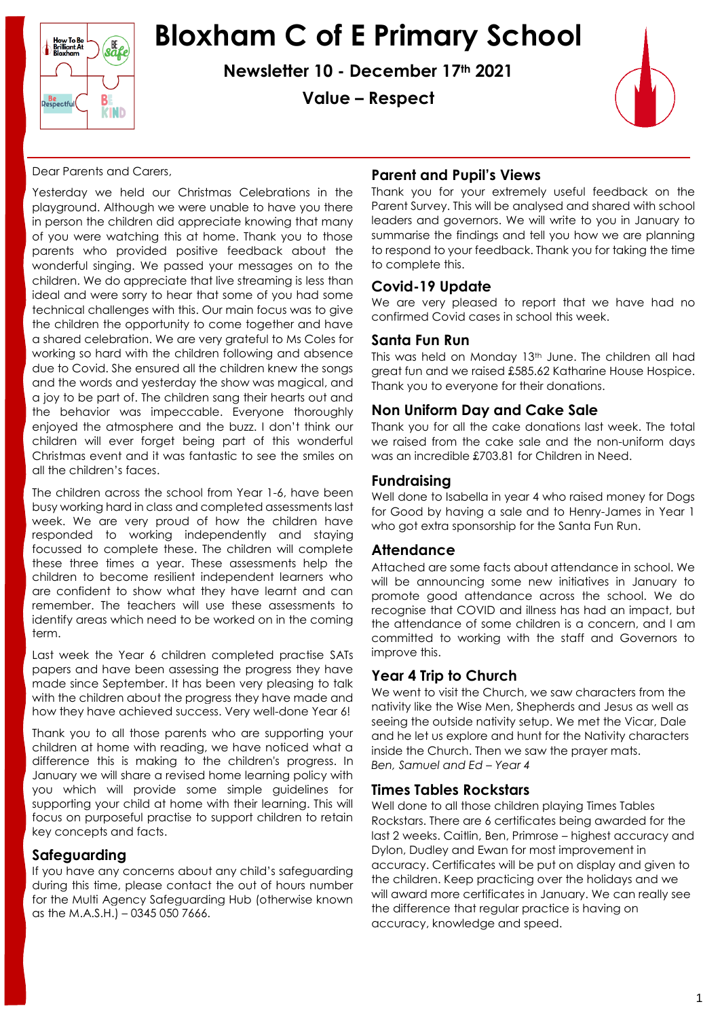

## **Bloxham C of E Primary School**

**Newsletter 10 - December 17th 2021**

**Value – Respect**



#### Dear Parents and Carers,

Yesterday we held our Christmas Celebrations in the playground. Although we were unable to have you there in person the children did appreciate knowing that many of you were watching this at home. Thank you to those parents who provided positive feedback about the wonderful singing. We passed your messages on to the children. We do appreciate that live streaming is less than ideal and were sorry to hear that some of you had some technical challenges with this. Our main focus was to give the children the opportunity to come together and have a shared celebration. We are very grateful to Ms Coles for working so hard with the children following and absence due to Covid. She ensured all the children knew the songs and the words and yesterday the show was magical, and a joy to be part of. The children sang their hearts out and the behavior was impeccable. Everyone thoroughly enjoyed the atmosphere and the buzz. I don't think our children will ever forget being part of this wonderful Christmas event and it was fantastic to see the smiles on all the children's faces.

The children across the school from Year 1-6, have been busy working hard in class and completed assessments last week. We are very proud of how the children have responded to working independently and staying focussed to complete these. The children will complete these three times a year. These assessments help the children to become resilient independent learners who are confident to show what they have learnt and can remember. The teachers will use these assessments to identify areas which need to be worked on in the coming term.

Last week the Year 6 children completed practise SATs papers and have been assessing the progress they have made since September. It has been very pleasing to talk with the children about the progress they have made and how they have achieved success. Very well-done Year 6!

Thank you to all those parents who are supporting your children at home with reading, we have noticed what a difference this is making to the children's progress. In January we will share a revised home learning policy with you which will provide some simple guidelines for supporting your child at home with their learning. This will focus on purposeful practise to support children to retain key concepts and facts.

## **Safeguarding**

If you have any concerns about any child's safeguarding during this time, please contact the out of hours number for the Multi Agency Safeguarding Hub (otherwise known as the M.A.S.H.) – 0345 050 7666.

## **Parent and Pupil's Views**

Thank you for your extremely useful feedback on the Parent Survey. This will be analysed and shared with school leaders and governors. We will write to you in January to summarise the findings and tell you how we are planning to respond to your feedback. Thank you for taking the time to complete this.

#### **Covid-19 Update**

We are very pleased to report that we have had no confirmed Covid cases in school this week.

#### **Santa Fun Run**

This was held on Monday 13<sup>th</sup> June. The children all had great fun and we raised £585.62 Katharine House Hospice. Thank you to everyone for their donations.

## **Non Uniform Day and Cake Sale**

Thank you for all the cake donations last week. The total we raised from the cake sale and the non-uniform days was an incredible £703.81 for Children in Need.

#### **Fundraising**

Well done to Isabella in year 4 who raised money for Dogs for Good by having a sale and to Henry-James in Year 1 who got extra sponsorship for the Santa Fun Run.

#### **Attendance**

Attached are some facts about attendance in school. We will be announcing some new initiatives in January to promote good attendance across the school. We do recognise that COVID and illness has had an impact, but the attendance of some children is a concern, and I am committed to working with the staff and Governors to improve this.

## **Year 4 Trip to Church**

We went to visit the Church, we saw characters from the nativity like the Wise Men, Shepherds and Jesus as well as seeing the outside nativity setup. We met the Vicar, Dale and he let us explore and hunt for the Nativity characters inside the Church. Then we saw the prayer mats. *Ben, Samuel and Ed – Year 4*

#### **Times Tables Rockstars**

Well done to all those children playing Times Tables Rockstars. There are 6 certificates being awarded for the last 2 weeks. Caitlin, Ben, Primrose – highest accuracy and Dylon, Dudley and Ewan for most improvement in accuracy. Certificates will be put on display and given to the children. Keep practicing over the holidays and we will award more certificates in January. We can really see the difference that regular practice is having on accuracy, knowledge and speed.